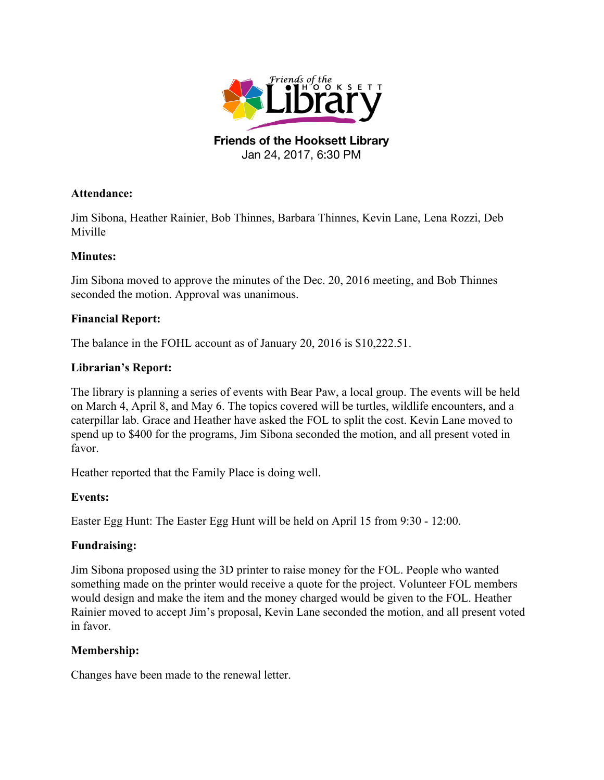

Jan 24, 2017, 6:30 PM

## **Attendance:**

Jim Sibona, Heather Rainier, Bob Thinnes, Barbara Thinnes, Kevin Lane, Lena Rozzi, Deb Miville

# **Minutes:**

Jim Sibona moved to approve the minutes of the Dec. 20, 2016 meeting, and Bob Thinnes seconded the motion. Approval was unanimous.

# **Financial Report:**

The balance in the FOHL account as of January 20, 2016 is \$10,222.51.

### **Librarian's Report:**

The library is planning a series of events with Bear Paw, a local group. The events will be held on March 4, April 8, and May 6. The topics covered will be turtles, wildlife encounters, and a caterpillar lab. Grace and Heather have asked the FOL to split the cost. Kevin Lane moved to spend up to \$400 for the programs, Jim Sibona seconded the motion, and all present voted in favor.

Heather reported that the Family Place is doing well.

# **Events:**

Easter Egg Hunt: The Easter Egg Hunt will be held on April 15 from 9:30 - 12:00.

# **Fundraising:**

Jim Sibona proposed using the 3D printer to raise money for the FOL. People who wanted something made on the printer would receive a quote for the project. Volunteer FOL members would design and make the item and the money charged would be given to the FOL. Heather Rainier moved to accept Jim's proposal, Kevin Lane seconded the motion, and all present voted in favor.

# **Membership:**

Changes have been made to the renewal letter.